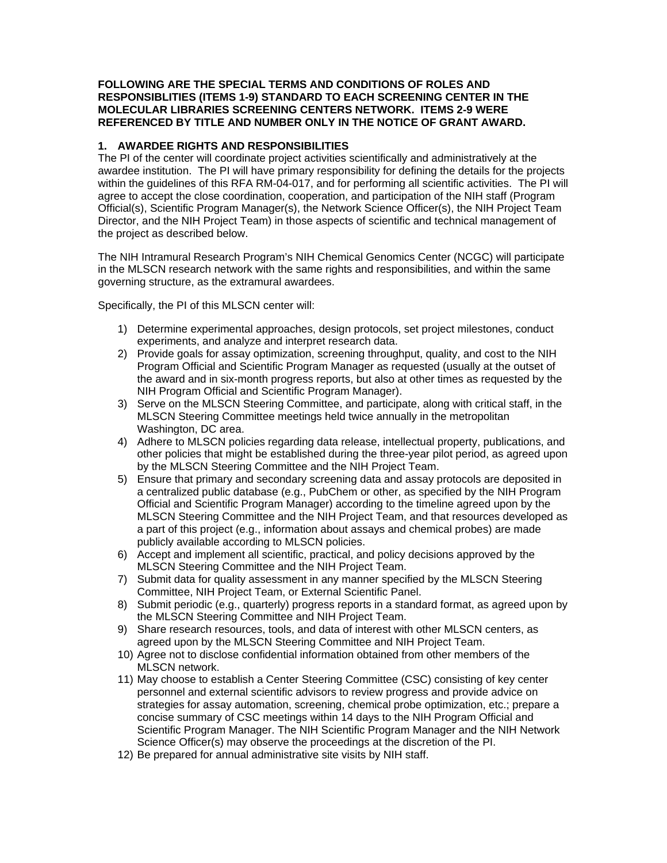#### **FOLLOWING ARE THE SPECIAL TERMS AND CONDITIONS OF ROLES AND RESPONSIBLITIES (ITEMS 1-9) STANDARD TO EACH SCREENING CENTER IN THE MOLECULAR LIBRARIES SCREENING CENTERS NETWORK. ITEMS 2-9 WERE REFERENCED BY TITLE AND NUMBER ONLY IN THE NOTICE OF GRANT AWARD.**

#### **1. AWARDEE RIGHTS AND RESPONSIBILITIES**

The PI of the center will coordinate project activities scientifically and administratively at the awardee institution. The PI will have primary responsibility for defining the details for the projects within the guidelines of this RFA RM-04-017, and for performing all scientific activities. The PI will agree to accept the close coordination, cooperation, and participation of the NIH staff (Program Official(s), Scientific Program Manager(s), the Network Science Officer(s), the NIH Project Team Director, and the NIH Project Team) in those aspects of scientific and technical management of the project as described below.

The NIH Intramural Research Program's NIH Chemical Genomics Center (NCGC) will participate in the MLSCN research network with the same rights and responsibilities, and within the same governing structure, as the extramural awardees.

Specifically, the PI of this MLSCN center will:

- 1) Determine experimental approaches, design protocols, set project milestones, conduct experiments, and analyze and interpret research data.
- 2) Provide goals for assay optimization, screening throughput, quality, and cost to the NIH Program Official and Scientific Program Manager as requested (usually at the outset of the award and in six-month progress reports, but also at other times as requested by the NIH Program Official and Scientific Program Manager).
- 3) Serve on the MLSCN Steering Committee, and participate, along with critical staff, in the MLSCN Steering Committee meetings held twice annually in the metropolitan Washington, DC area.
- 4) Adhere to MLSCN policies regarding data release, intellectual property, publications, and other policies that might be established during the three-year pilot period, as agreed upon by the MLSCN Steering Committee and the NIH Project Team.
- 5) Ensure that primary and secondary screening data and assay protocols are deposited in a centralized public database (e.g., PubChem or other, as specified by the NIH Program Official and Scientific Program Manager) according to the timeline agreed upon by the MLSCN Steering Committee and the NIH Project Team, and that resources developed as a part of this project (e.g., information about assays and chemical probes) are made publicly available according to MLSCN policies.
- 6) Accept and implement all scientific, practical, and policy decisions approved by the MLSCN Steering Committee and the NIH Project Team.
- 7) Submit data for quality assessment in any manner specified by the MLSCN Steering Committee, NIH Project Team, or External Scientific Panel.
- 8) Submit periodic (e.g., quarterly) progress reports in a standard format, as agreed upon by the MLSCN Steering Committee and NIH Project Team.
- 9) Share research resources, tools, and data of interest with other MLSCN centers, as agreed upon by the MLSCN Steering Committee and NIH Project Team.
- 10) Agree not to disclose confidential information obtained from other members of the MLSCN network.
- 11) May choose to establish a Center Steering Committee (CSC) consisting of key center personnel and external scientific advisors to review progress and provide advice on strategies for assay automation, screening, chemical probe optimization, etc.; prepare a concise summary of CSC meetings within 14 days to the NIH Program Official and Scientific Program Manager. The NIH Scientific Program Manager and the NIH Network Science Officer(s) may observe the proceedings at the discretion of the PI.
- 12) Be prepared for annual administrative site visits by NIH staff.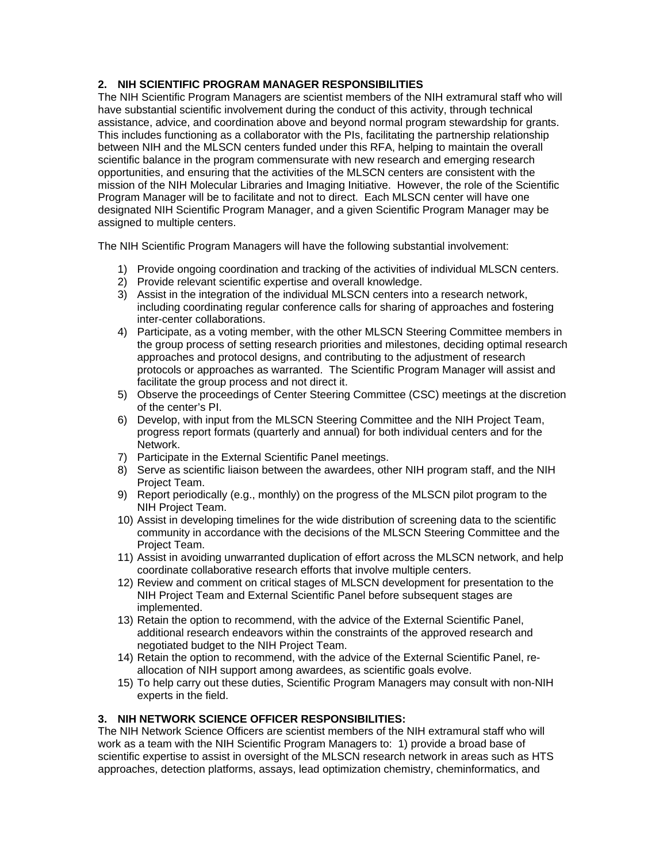# **2. NIH SCIENTIFIC PROGRAM MANAGER RESPONSIBILITIES**

The NIH Scientific Program Managers are scientist members of the NIH extramural staff who will have substantial scientific involvement during the conduct of this activity, through technical assistance, advice, and coordination above and beyond normal program stewardship for grants. This includes functioning as a collaborator with the PIs, facilitating the partnership relationship between NIH and the MLSCN centers funded under this RFA, helping to maintain the overall scientific balance in the program commensurate with new research and emerging research opportunities, and ensuring that the activities of the MLSCN centers are consistent with the mission of the NIH Molecular Libraries and Imaging Initiative. However, the role of the Scientific Program Manager will be to facilitate and not to direct. Each MLSCN center will have one designated NIH Scientific Program Manager, and a given Scientific Program Manager may be assigned to multiple centers.

The NIH Scientific Program Managers will have the following substantial involvement:

- 1) Provide ongoing coordination and tracking of the activities of individual MLSCN centers.
- 2) Provide relevant scientific expertise and overall knowledge.
- 3) Assist in the integration of the individual MLSCN centers into a research network, including coordinating regular conference calls for sharing of approaches and fostering inter-center collaborations.
- 4) Participate, as a voting member, with the other MLSCN Steering Committee members in the group process of setting research priorities and milestones, deciding optimal research approaches and protocol designs, and contributing to the adjustment of research protocols or approaches as warranted. The Scientific Program Manager will assist and facilitate the group process and not direct it.
- 5) Observe the proceedings of Center Steering Committee (CSC) meetings at the discretion of the center's PI.
- 6) Develop, with input from the MLSCN Steering Committee and the NIH Project Team, progress report formats (quarterly and annual) for both individual centers and for the Network.
- 7) Participate in the External Scientific Panel meetings.
- 8) Serve as scientific liaison between the awardees, other NIH program staff, and the NIH Project Team.
- 9) Report periodically (e.g., monthly) on the progress of the MLSCN pilot program to the NIH Project Team.
- 10) Assist in developing timelines for the wide distribution of screening data to the scientific community in accordance with the decisions of the MLSCN Steering Committee and the Project Team.
- 11) Assist in avoiding unwarranted duplication of effort across the MLSCN network, and help coordinate collaborative research efforts that involve multiple centers.
- 12) Review and comment on critical stages of MLSCN development for presentation to the NIH Project Team and External Scientific Panel before subsequent stages are implemented.
- 13) Retain the option to recommend, with the advice of the External Scientific Panel, additional research endeavors within the constraints of the approved research and negotiated budget to the NIH Project Team.
- 14) Retain the option to recommend, with the advice of the External Scientific Panel, reallocation of NIH support among awardees, as scientific goals evolve.
- 15) To help carry out these duties, Scientific Program Managers may consult with non-NIH experts in the field.

#### **3. NIH NETWORK SCIENCE OFFICER RESPONSIBILITIES:**

The NIH Network Science Officers are scientist members of the NIH extramural staff who will work as a team with the NIH Scientific Program Managers to: 1) provide a broad base of scientific expertise to assist in oversight of the MLSCN research network in areas such as HTS approaches, detection platforms, assays, lead optimization chemistry, cheminformatics, and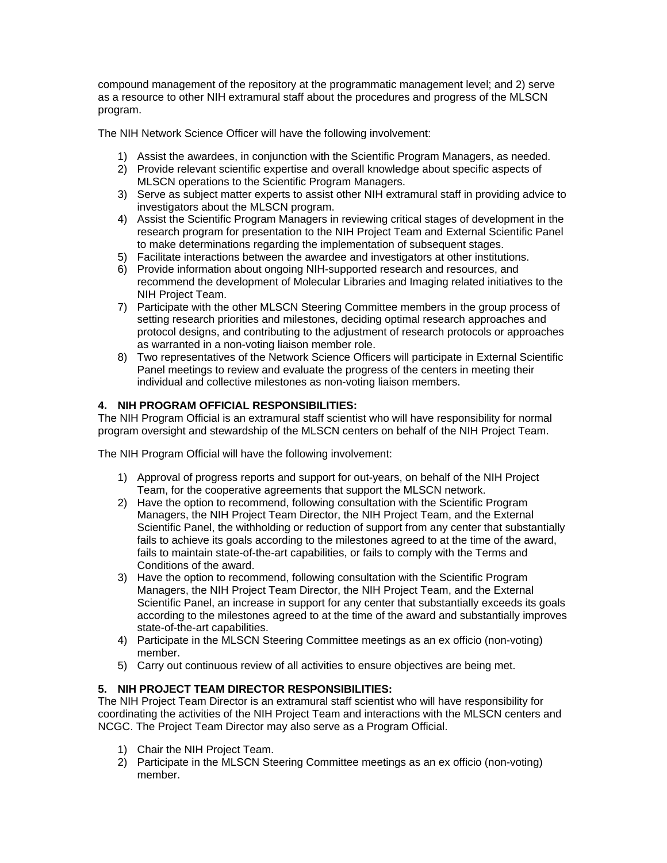compound management of the repository at the programmatic management level; and 2) serve as a resource to other NIH extramural staff about the procedures and progress of the MLSCN program.

The NIH Network Science Officer will have the following involvement:

- 1) Assist the awardees, in conjunction with the Scientific Program Managers, as needed.
- 2) Provide relevant scientific expertise and overall knowledge about specific aspects of MLSCN operations to the Scientific Program Managers.
- 3) Serve as subject matter experts to assist other NIH extramural staff in providing advice to investigators about the MLSCN program.
- 4) Assist the Scientific Program Managers in reviewing critical stages of development in the research program for presentation to the NIH Project Team and External Scientific Panel to make determinations regarding the implementation of subsequent stages.
- 5) Facilitate interactions between the awardee and investigators at other institutions.
- 6) Provide information about ongoing NIH-supported research and resources, and recommend the development of Molecular Libraries and Imaging related initiatives to the NIH Project Team.
- 7) Participate with the other MLSCN Steering Committee members in the group process of setting research priorities and milestones, deciding optimal research approaches and protocol designs, and contributing to the adjustment of research protocols or approaches as warranted in a non-voting liaison member role.
- 8) Two representatives of the Network Science Officers will participate in External Scientific Panel meetings to review and evaluate the progress of the centers in meeting their individual and collective milestones as non-voting liaison members.

### **4. NIH PROGRAM OFFICIAL RESPONSIBILITIES:**

The NIH Program Official is an extramural staff scientist who will have responsibility for normal program oversight and stewardship of the MLSCN centers on behalf of the NIH Project Team.

The NIH Program Official will have the following involvement:

- 1) Approval of progress reports and support for out-years, on behalf of the NIH Project Team, for the cooperative agreements that support the MLSCN network.
- 2) Have the option to recommend, following consultation with the Scientific Program Managers, the NIH Project Team Director, the NIH Project Team, and the External Scientific Panel, the withholding or reduction of support from any center that substantially fails to achieve its goals according to the milestones agreed to at the time of the award, fails to maintain state-of-the-art capabilities, or fails to comply with the Terms and Conditions of the award.
- 3) Have the option to recommend, following consultation with the Scientific Program Managers, the NIH Project Team Director, the NIH Project Team, and the External Scientific Panel, an increase in support for any center that substantially exceeds its goals according to the milestones agreed to at the time of the award and substantially improves state-of-the-art capabilities.
- 4) Participate in the MLSCN Steering Committee meetings as an ex officio (non-voting) member.
- 5) Carry out continuous review of all activities to ensure objectives are being met.

### **5. NIH PROJECT TEAM DIRECTOR RESPONSIBILITIES:**

The NIH Project Team Director is an extramural staff scientist who will have responsibility for coordinating the activities of the NIH Project Team and interactions with the MLSCN centers and NCGC. The Project Team Director may also serve as a Program Official.

- 1) Chair the NIH Project Team.
- 2) Participate in the MLSCN Steering Committee meetings as an ex officio (non-voting) member.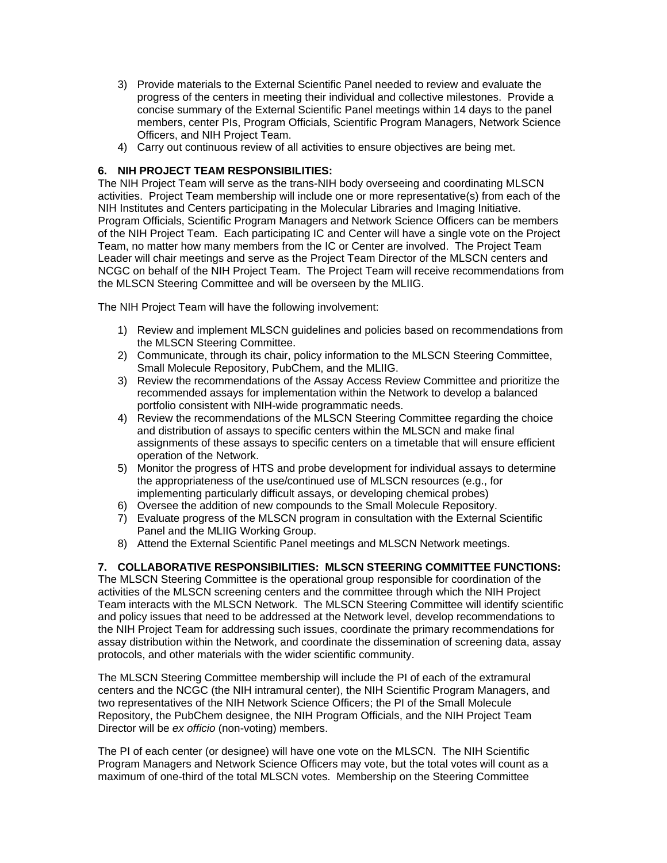- 3) Provide materials to the External Scientific Panel needed to review and evaluate the progress of the centers in meeting their individual and collective milestones. Provide a concise summary of the External Scientific Panel meetings within 14 days to the panel members, center PIs, Program Officials, Scientific Program Managers, Network Science Officers, and NIH Project Team.
- 4) Carry out continuous review of all activities to ensure objectives are being met.

## **6. NIH PROJECT TEAM RESPONSIBILITIES:**

The NIH Project Team will serve as the trans-NIH body overseeing and coordinating MLSCN activities. Project Team membership will include one or more representative(s) from each of the NIH Institutes and Centers participating in the Molecular Libraries and Imaging Initiative. Program Officials, Scientific Program Managers and Network Science Officers can be members of the NIH Project Team. Each participating IC and Center will have a single vote on the Project Team, no matter how many members from the IC or Center are involved. The Project Team Leader will chair meetings and serve as the Project Team Director of the MLSCN centers and NCGC on behalf of the NIH Project Team. The Project Team will receive recommendations from the MLSCN Steering Committee and will be overseen by the MLIIG.

The NIH Project Team will have the following involvement:

- 1) Review and implement MLSCN guidelines and policies based on recommendations from the MLSCN Steering Committee.
- 2) Communicate, through its chair, policy information to the MLSCN Steering Committee, Small Molecule Repository, PubChem, and the MLIIG.
- 3) Review the recommendations of the Assay Access Review Committee and prioritize the recommended assays for implementation within the Network to develop a balanced portfolio consistent with NIH-wide programmatic needs.
- 4) Review the recommendations of the MLSCN Steering Committee regarding the choice and distribution of assays to specific centers within the MLSCN and make final assignments of these assays to specific centers on a timetable that will ensure efficient operation of the Network.
- 5) Monitor the progress of HTS and probe development for individual assays to determine the appropriateness of the use/continued use of MLSCN resources (e.g., for implementing particularly difficult assays, or developing chemical probes)
- 6) Oversee the addition of new compounds to the Small Molecule Repository.
- 7) Evaluate progress of the MLSCN program in consultation with the External Scientific Panel and the MLIIG Working Group.
- 8) Attend the External Scientific Panel meetings and MLSCN Network meetings.

### **7. COLLABORATIVE RESPONSIBILITIES: MLSCN STEERING COMMITTEE FUNCTIONS:**

The MLSCN Steering Committee is the operational group responsible for coordination of the activities of the MLSCN screening centers and the committee through which the NIH Project Team interacts with the MLSCN Network. The MLSCN Steering Committee will identify scientific and policy issues that need to be addressed at the Network level, develop recommendations to the NIH Project Team for addressing such issues, coordinate the primary recommendations for assay distribution within the Network, and coordinate the dissemination of screening data, assay protocols, and other materials with the wider scientific community.

The MLSCN Steering Committee membership will include the PI of each of the extramural centers and the NCGC (the NIH intramural center), the NIH Scientific Program Managers, and two representatives of the NIH Network Science Officers; the PI of the Small Molecule Repository, the PubChem designee, the NIH Program Officials, and the NIH Project Team Director will be *ex officio* (non-voting) members.

The PI of each center (or designee) will have one vote on the MLSCN. The NIH Scientific Program Managers and Network Science Officers may vote, but the total votes will count as a maximum of one-third of the total MLSCN votes. Membership on the Steering Committee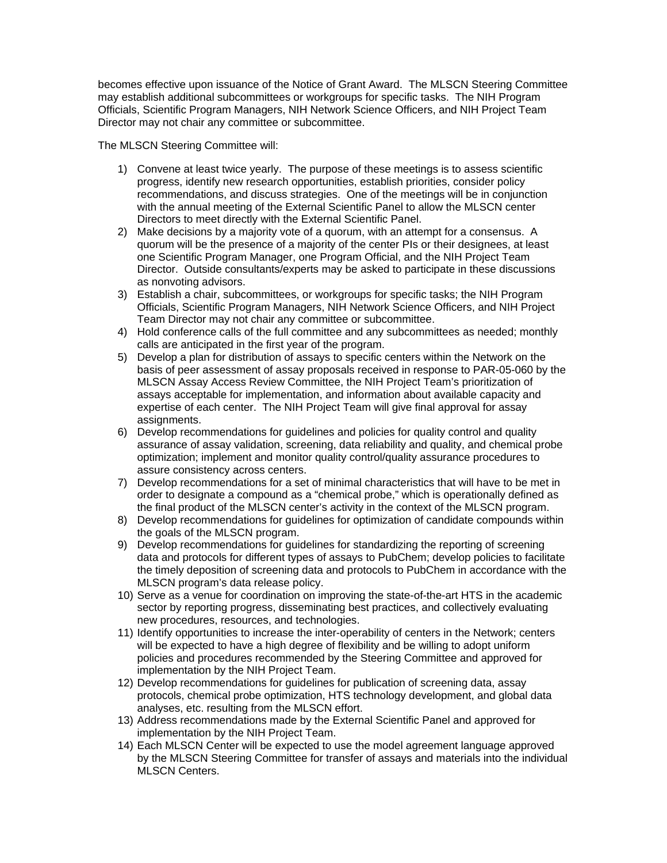becomes effective upon issuance of the Notice of Grant Award. The MLSCN Steering Committee may establish additional subcommittees or workgroups for specific tasks. The NIH Program Officials, Scientific Program Managers, NIH Network Science Officers, and NIH Project Team Director may not chair any committee or subcommittee.

The MLSCN Steering Committee will:

- 1) Convene at least twice yearly. The purpose of these meetings is to assess scientific progress, identify new research opportunities, establish priorities, consider policy recommendations, and discuss strategies. One of the meetings will be in conjunction with the annual meeting of the External Scientific Panel to allow the MLSCN center Directors to meet directly with the External Scientific Panel.
- 2) Make decisions by a majority vote of a quorum, with an attempt for a consensus. A quorum will be the presence of a majority of the center PIs or their designees, at least one Scientific Program Manager, one Program Official, and the NIH Project Team Director. Outside consultants/experts may be asked to participate in these discussions as nonvoting advisors.
- 3) Establish a chair, subcommittees, or workgroups for specific tasks; the NIH Program Officials, Scientific Program Managers, NIH Network Science Officers, and NIH Project Team Director may not chair any committee or subcommittee.
- 4) Hold conference calls of the full committee and any subcommittees as needed; monthly calls are anticipated in the first year of the program.
- 5) Develop a plan for distribution of assays to specific centers within the Network on the basis of peer assessment of assay proposals received in response to PAR-05-060 by the MLSCN Assay Access Review Committee, the NIH Project Team's prioritization of assays acceptable for implementation, and information about available capacity and expertise of each center. The NIH Project Team will give final approval for assay assignments.
- 6) Develop recommendations for guidelines and policies for quality control and quality assurance of assay validation, screening, data reliability and quality, and chemical probe optimization; implement and monitor quality control/quality assurance procedures to assure consistency across centers.
- 7) Develop recommendations for a set of minimal characteristics that will have to be met in order to designate a compound as a "chemical probe," which is operationally defined as the final product of the MLSCN center's activity in the context of the MLSCN program.
- 8) Develop recommendations for guidelines for optimization of candidate compounds within the goals of the MLSCN program.
- 9) Develop recommendations for guidelines for standardizing the reporting of screening data and protocols for different types of assays to PubChem; develop policies to facilitate the timely deposition of screening data and protocols to PubChem in accordance with the MLSCN program's data release policy.
- 10) Serve as a venue for coordination on improving the state-of-the-art HTS in the academic sector by reporting progress, disseminating best practices, and collectively evaluating new procedures, resources, and technologies.
- 11) Identify opportunities to increase the inter-operability of centers in the Network; centers will be expected to have a high degree of flexibility and be willing to adopt uniform policies and procedures recommended by the Steering Committee and approved for implementation by the NIH Project Team.
- 12) Develop recommendations for guidelines for publication of screening data, assay protocols, chemical probe optimization, HTS technology development, and global data analyses, etc. resulting from the MLSCN effort.
- 13) Address recommendations made by the External Scientific Panel and approved for implementation by the NIH Project Team.
- 14) Each MLSCN Center will be expected to use the model agreement language approved by the MLSCN Steering Committee for transfer of assays and materials into the individual MLSCN Centers.